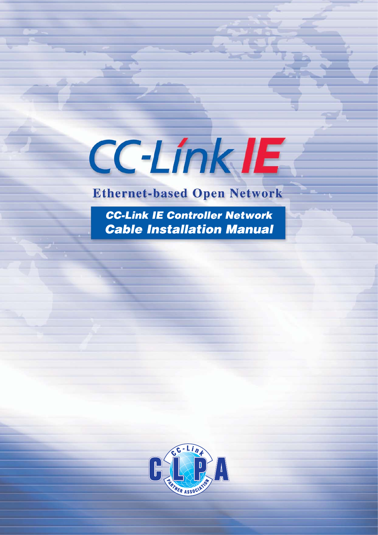**CC-Link IE** 

# **Ethernet-based Open Network**

CC-Link IE Controller Network **Cable Installation Manual** 

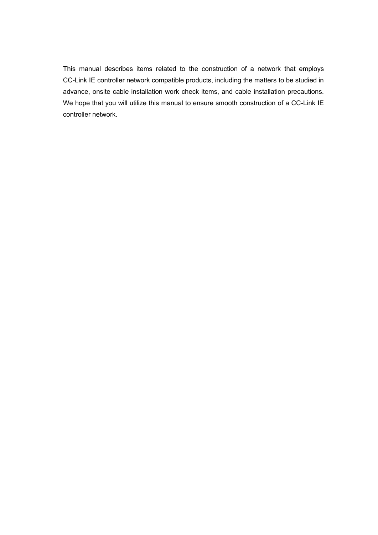This manual describes items related to the construction of a network that employs CC-Link IE controller network compatible products, including the matters to be studied in advance, onsite cable installation work check items, and cable installation precautions. We hope that you will utilize this manual to ensure smooth construction of a CC-Link IE controller network.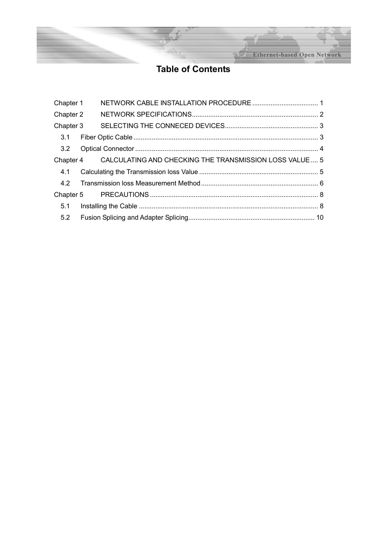**Ethernet-based Open Network** 

## **Table of Contents**

| Chapter 1 |                                                                   |  |
|-----------|-------------------------------------------------------------------|--|
| Chapter 2 |                                                                   |  |
| Chapter 3 |                                                                   |  |
| 3.1       |                                                                   |  |
| 3.2       |                                                                   |  |
|           | Chapter 4 CALCULATING AND CHECKING THE TRANSMISSION LOSS VALUE  5 |  |
| 4.1       |                                                                   |  |
|           |                                                                   |  |
|           |                                                                   |  |
|           |                                                                   |  |
| 5.2       |                                                                   |  |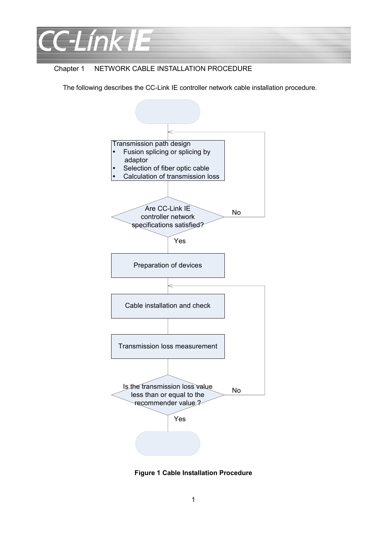

#### Chapter 1 NETWORK CABLE INSTALLATION PROCEDURE

The following describes the CC-Link IE controller network cable installation procedure.



**Figure 1 Cable Installation Procedure**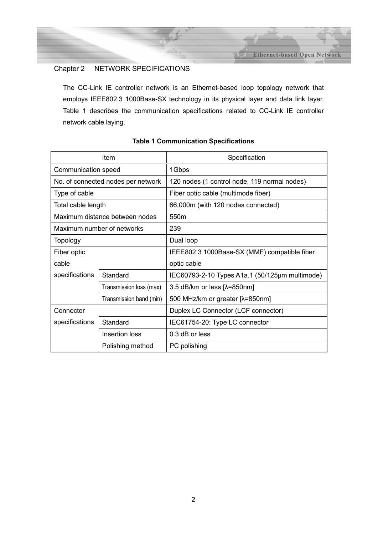**Ethernet-based Open Network** 

### Chapter 2 NETWORK SPECIFICATIONS

The CC-Link IE controller network is an Ethernet-based loop topology network that employs IEEE802.3 1000Base-SX technology in its physical layer and data link layer. Table 1 describes the communication specifications related to CC-Link IE controller network cable laying.

|                            | Item                               | Specification                                  |  |  |
|----------------------------|------------------------------------|------------------------------------------------|--|--|
| Communication speed        |                                    | 1Gbps                                          |  |  |
|                            | No. of connected nodes per network | 120 nodes (1 control node, 119 normal nodes)   |  |  |
| Type of cable              |                                    | Fiber optic cable (multimode fiber)            |  |  |
| Total cable length         |                                    | 66,000m (with 120 nodes connected)             |  |  |
|                            | Maximum distance between nodes     | 550 <sub>m</sub>                               |  |  |
|                            | Maximum number of networks         | 239                                            |  |  |
| <b>Topology</b>            |                                    | Dual loop                                      |  |  |
| Fiber optic                |                                    | IEEE802.3 1000Base-SX (MMF) compatible fiber   |  |  |
| cable                      |                                    | optic cable                                    |  |  |
| specifications             | Standard                           | IEC60793-2-10 Types A1a.1 (50/125µm multimode) |  |  |
|                            | Transmission loss (max)            | 3.5 dB/km or less [ $\lambda$ =850nm]          |  |  |
|                            | Transmission band (min)            | 500 MHz/km or greater [λ=850nm]                |  |  |
| Connector                  |                                    | Duplex LC Connector (LCF connector)            |  |  |
| specifications<br>Standard |                                    | IEC61754-20: Type LC connector                 |  |  |
|                            | Insertion loss                     | $0.3$ dB or less                               |  |  |
|                            | Polishing method                   | PC polishing                                   |  |  |

#### **Table 1 Communication Specifications**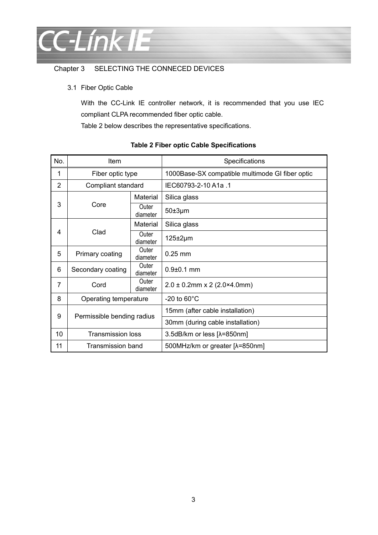

## Chapter 3 SELECTING THE CONNECED DEVICES

3.1 Fiber Optic Cable

With the CC-Link IE controller network, it is recommended that you use IEC compliant CLPA recommended fiber optic cable.

Table 2 below describes the representative specifications.

| No.            | Item                                   |                   | Specifications                                  |  |  |
|----------------|----------------------------------------|-------------------|-------------------------------------------------|--|--|
| 1              | Fiber optic type                       |                   | 1000Base-SX compatible multimode GI fiber optic |  |  |
| $\overline{2}$ | Compliant standard                     |                   | IEC60793-2-10 A1a .1                            |  |  |
| 3              | Core                                   | Material          | Silica glass                                    |  |  |
|                |                                        | Outer<br>diameter | $50\pm3\mu m$                                   |  |  |
| 4              | Clad                                   | Material          | Silica glass                                    |  |  |
|                |                                        | Outer<br>diameter | $125 \pm 2 \mu m$                               |  |  |
| 5              | Primary coating                        | Outer<br>diameter | $0.25$ mm                                       |  |  |
| 6              | Outer<br>Secondary coating<br>diameter |                   | $0.9 + 0.1$ mm                                  |  |  |
| 7              | Outer<br>Cord<br>diameter              |                   | $2.0 \pm 0.2$ mm x 2 (2.0×4.0mm)                |  |  |
| 8              | Operating temperature                  |                   | -20 to $60^{\circ}$ C                           |  |  |
| 9              | Permissible bending radius             |                   | 15mm (after cable installation)                 |  |  |
|                |                                        |                   | 30mm (during cable installation)                |  |  |
| 10             | <b>Transmission loss</b>               |                   | 3.5dB/km or less [ $\lambda$ =850nm]            |  |  |
| 11             | Transmission band                      |                   | 500MHz/km or greater [ $\lambda$ =850nm]        |  |  |

#### **Table 2 Fiber optic Cable Specifications**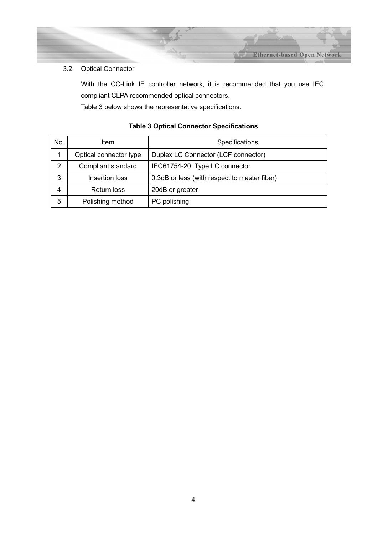#### 3.2 Optical Connector

With the CC-Link IE controller network, it is recommended that you use IEC compliant CLPA recommended optical connectors.

**Ethernet-based Open Network** 

Table 3 below shows the representative specifications.

| No. | ltem                   | Specifications                               |  |  |
|-----|------------------------|----------------------------------------------|--|--|
|     | Optical connector type | Duplex LC Connector (LCF connector)          |  |  |
| 2   | Compliant standard     | IEC61754-20: Type LC connector               |  |  |
| 3   | Insertion loss         | 0.3dB or less (with respect to master fiber) |  |  |
| 4   | <b>Return loss</b>     | 20dB or greater                              |  |  |
| 5   | Polishing method       | PC polishing                                 |  |  |

## **Table 3 Optical Connector Specifications**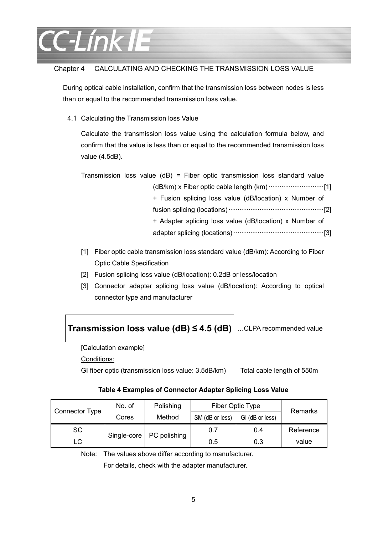

#### Chapter 4 CALCULATING AND CHECKING THE TRANSMISSION LOSS VALUE

During optical cable installation, confirm that the transmission loss between nodes is less than or equal to the recommended transmission loss value.

4.1 Calculating the Transmission loss Value

Calculate the transmission loss value using the calculation formula below, and confirm that the value is less than or equal to the recommended transmission loss value (4.5dB).

Transmission loss value (dB) = Fiber optic transmission loss standard value (dB/km) x Fiber optic cable length (km) ······························[1] + Fusion splicing loss value (dB/location) x Number of fusion splicing (locations) ····················································[2] + Adapter splicing loss value (dB/location) x Number of adapter splicing (locations) ·················································[3]

- [1] Fiber optic cable transmission loss standard value (dB/km): According to Fiber Optic Cable Specification
- [2] Fusion splicing loss value (dB/location): 0.2dB or less/location
- [3] Connector adapter splicing loss value (dB/location): According to optical connector type and manufacturer

**Transmission loss value (dB) ≤ 4.5 (dB)** …CLPA recommended value

[Calculation example]

Conditions:

GI fiber optic (transmission loss value: 3.5dB/km) Total cable length of 550m

#### **Table 4 Examples of Connector Adapter Splicing Loss Value**

| Connector Type | No. of | Polishing                  | Fiber Optic Type |                 | Remarks   |  |
|----------------|--------|----------------------------|------------------|-----------------|-----------|--|
|                | Cores  | Method                     | SM (dB or less)  | GI (dB or less) |           |  |
| <b>SC</b>      |        | Single-core   PC polishing | 0.7              | 0.4             | Reference |  |
| LC             |        |                            | 0.5              | 0.3             | value     |  |

Note: The values above differ according to manufacturer.

For details, check with the adapter manufacturer.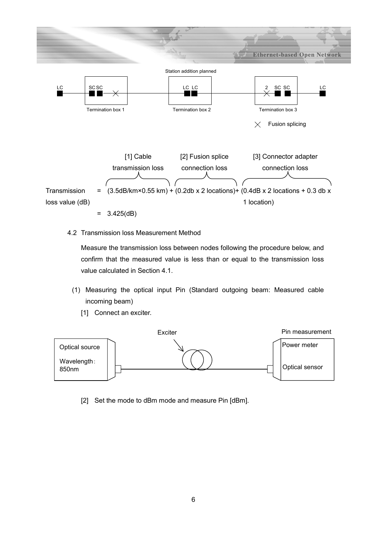

- $= 3.425(dB)$
- 4.2 Transmission loss Measurement Method

Measure the transmission loss between nodes following the procedure below, and confirm that the measured value is less than or equal to the transmission loss value calculated in Section 4.1.

- (1) Measuring the optical input Pin (Standard outgoing beam: Measured cable incoming beam)
	- [1] Connect an exciter.



[2] Set the mode to dBm mode and measure Pin [dBm].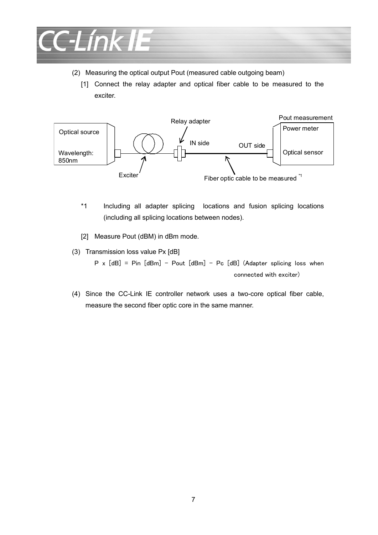

- (2) Measuring the optical output Pout (measured cable outgoing beam)
	- [1] Connect the relay adapter and optical fiber cable to be measured to the exciter.



- \*1 Including all adapter splicing locations and fusion splicing locations (including all splicing locations between nodes).
- [2] Measure Pout (dBM) in dBm mode.
- (3) Transmission loss value Px [dB]

 $P \times [dB] = P$ in  $[dBm] - P$ out  $[dBm] - Pc$   $[dB]$  (Adapter splicing loss when connected with exciter)

(4) Since the CC-Link IE controller network uses a two-core optical fiber cable, measure the second fiber optic core in the same manner.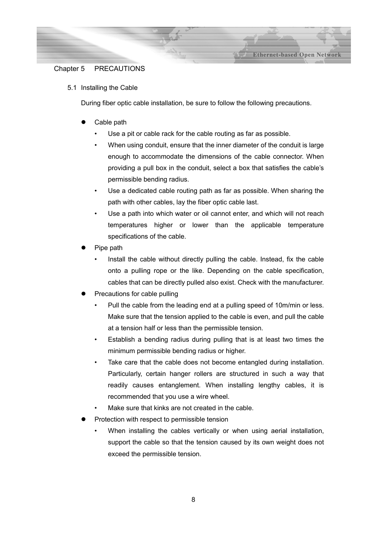#### Chapter 5 PRECAUTIONS

5.1 Installing the Cable

During fiber optic cable installation, be sure to follow the following precautions.

- Cable path
	- Use a pit or cable rack for the cable routing as far as possible.
	- When using conduit, ensure that the inner diameter of the conduit is large enough to accommodate the dimensions of the cable connector. When providing a pull box in the conduit, select a box that satisfies the cable's permissible bending radius.

**Ethernet-based Open Network** 

- Use a dedicated cable routing path as far as possible. When sharing the path with other cables, lay the fiber optic cable last.
- Use a path into which water or oil cannot enter, and which will not reach temperatures higher or lower than the applicable temperature specifications of the cable.
- Pipe path
	- Install the cable without directly pulling the cable. Instead, fix the cable onto a pulling rope or the like. Depending on the cable specification, cables that can be directly pulled also exist. Check with the manufacturer.
- Precautions for cable pulling
	- Pull the cable from the leading end at a pulling speed of 10m/min or less. Make sure that the tension applied to the cable is even, and pull the cable at a tension half or less than the permissible tension.
	- Establish a bending radius during pulling that is at least two times the minimum permissible bending radius or higher.
	- Take care that the cable does not become entangled during installation. Particularly, certain hanger rollers are structured in such a way that readily causes entanglement. When installing lengthy cables, it is recommended that you use a wire wheel.
	- Make sure that kinks are not created in the cable.
- Protection with respect to permissible tension
	- When installing the cables vertically or when using aerial installation, support the cable so that the tension caused by its own weight does not exceed the permissible tension.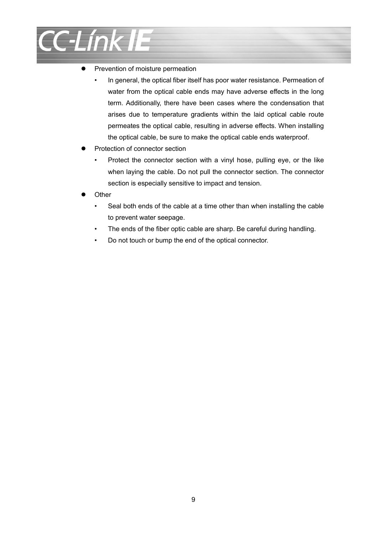

- Prevention of moisture permeation
	- In general, the optical fiber itself has poor water resistance. Permeation of water from the optical cable ends may have adverse effects in the long term. Additionally, there have been cases where the condensation that arises due to temperature gradients within the laid optical cable route permeates the optical cable, resulting in adverse effects. When installing the optical cable, be sure to make the optical cable ends waterproof.
- Protection of connector section
	- Protect the connector section with a vinyl hose, pulling eye, or the like when laying the cable. Do not pull the connector section. The connector section is especially sensitive to impact and tension.
- **Other** 
	- Seal both ends of the cable at a time other than when installing the cable to prevent water seepage.
	- The ends of the fiber optic cable are sharp. Be careful during handling.
	- Do not touch or bump the end of the optical connector.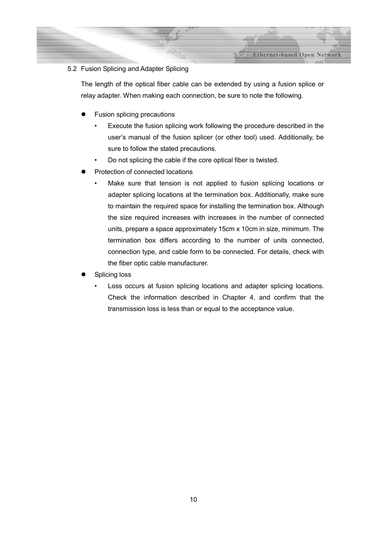#### 5.2 Fusion Splicing and Adapter Splicing

The length of the optical fiber cable can be extended by using a fusion splice or relay adapter. When making each connection, be sure to note the following.

- Fusion splicing precautions
	- Execute the fusion splicing work following the procedure described in the user's manual of the fusion splicer (or other tool) used. Additionally, be sure to follow the stated precautions.
	- Do not splicing the cable if the core optical fiber is twisted.
- Protection of connected locations
	- Make sure that tension is not applied to fusion splicing locations or adapter splicing locations at the termination box. Additionally, make sure to maintain the required space for installing the termination box. Although the size required increases with increases in the number of connected units, prepare a space approximately 15cm x 10cm in size, minimum. The termination box differs according to the number of units connected, connection type, and cable form to be connected. For details, check with the fiber optic cable manufacturer.
- Splicing loss
	- Loss occurs at fusion splicing locations and adapter splicing locations. Check the information described in Chapter 4, and confirm that the transmission loss is less than or equal to the acceptance value.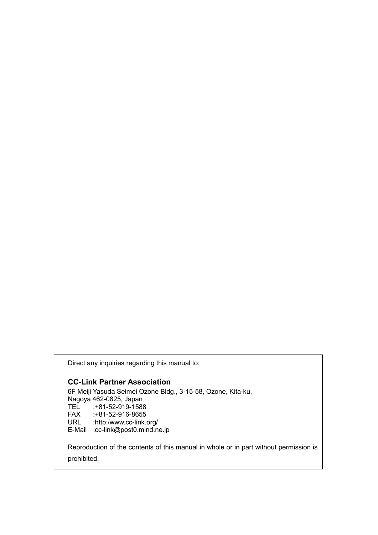Direct any inquiries regarding this manual to:

#### **CC-Link Partner Association**

6F Meiji Yasuda Seimei Ozone Bldg., 3-15-58, Ozone, Kita-ku, Nagoya 462-0825, Japan<br>TEL :+81-52-919-1588 TEL :+81-52-919-1588<br>FAX :+81-52-916-8655 FAX :+81-52-916-8655<br>URL :http:/www.cc-link. :http:/www.cc-link.org/ E-Mail :cc-link@post0.mind.ne.jp

Reproduction of the contents of this manual in whole or in part without permission is prohibited.